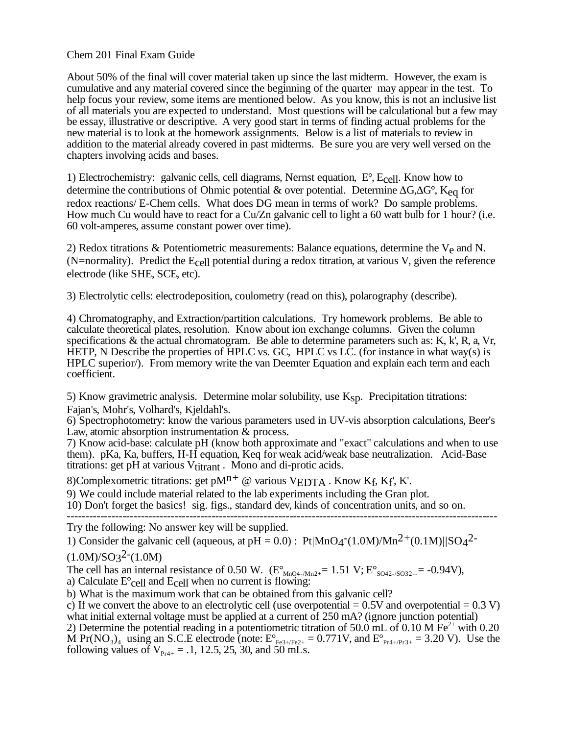## Chem 201 Final Exam Guide

About 50% of the final will cover material taken up since the last midterm. However, the exam is cumulative and any material covered since the beginning of the quarter may appear in the test. To help focus your review, some items are mentioned below. As you know, this is not an inclusive list of all materials you are expected to understand. Most questions will be calculational but a few may be essay, illustrative or descriptive. A very good start in terms of finding actual problems for the new material is to look at the homework assignments. Below is a list of materials to review in addition to the material already covered in past midterms. Be sure you are very well versed on the chapters involving acids and bases.

1) Electrochemistry: galvanic cells, cell diagrams, Nernst equation, E°, Ecell. Know how to determine the contributions of Ohmic potential & over potential. Determine  $\Delta G$ ,  $\Delta G^{\circ}$ ,  $K_{eq}$  for redox reactions/ E-Chem cells. What does DG mean in terms of work? Do sample problems. How much Cu would have to react for a Cu/Zn galvanic cell to light a 60 watt bulb for 1 hour? (i.e. 60 volt-amperes, assume constant power over time).

2) Redox titrations & Potentiometric measurements: Balance equations, determine the  $V_e$  and N. (N=normality). Predict the Ecell potential during a redox titration, at various V, given the reference electrode (like SHE, SCE, etc).

3) Electrolytic cells: electrodeposition, coulometry (read on this), polarography (describe).

4) Chromatography, and Extraction/partition calculations. Try homework problems. Be able to calculate theoretical plates, resolution. Know about ion exchange columns. Given the column specifications & the actual chromatogram. Be able to determine parameters such as: K, k', R, a, Vr, HETP, N Describe the properties of HPLC vs. GC, HPLC vs LC. (for instance in what way(s) is HPLC superior/). From memory write the van Deemter Equation and explain each term and each coefficient.

5) Know gravimetric analysis. Determine molar solubility, use  $K_{\text{SD}}$ . Precipitation titrations: Fajan's, Mohr's, Volhard's, Kjeldahl's.

6) Spectrophotometry: know the various parameters used in UV-vis absorption calculations, Beer's Law, atomic absorption instrumentation  $\&$  process.

7) Know acid-base: calculate pH (know both approximate and "exact" calculations and when to use them). pKa, Ka, buffers, H-H equation, Keq for weak acid/weak base neutralization. Acid-Base titrations: get pH at various Vtitrant. Mono and di-protic acids.

8)Complexometric titrations: get p $M^{n+}$  @ various VEDTA . Know Kf, Kf', K'.

9) We could include material related to the lab experiments including the Gran plot.

10) Don't forget the basics! sig. figs., standard dev, kinds of concentration units, and so on. --------------------------------------------------------------------------------------------------------------------

Try the following: No answer key will be supplied.

1) Consider the galvanic cell (aqueous, at  $pH = 0.0$ ) : Pt $|MnO_4(1.0M)/Mn^2+(0.1M)||SO_4^2$  $(1.0M)/SO<sub>3</sub><sup>2</sup>$ <sup>-</sup> $(1.0M)$ 

The cell has an internal resistance of 0.50 W.  $(E^{\circ}_{MnO4-Mn2+}= 1.51 \text{ V}; E^{\circ}_{SO42-SO32-}= -0.94 \text{ V})$ ,

a) Calculate  $E^{\circ}$ cell and  $E_{cell}$  when no current is flowing: b) What is the maximum work that can be obtained from this galvanic cell?

c) If we convert the above to an electrolytic cell (use overpotential  $= 0.5V$  and overpotential  $= 0.3 V$ ) what initial external voltage must be applied at a current of 250 mA? (ignore junction potential)

2) Determine the potential reading in a potentiometric titration of 50.0 mL of 0.10 M  $Fe^{2+}$  with 0.20 M Pr(NO<sub>3</sub>)<sub>4</sub> using an S.C.E electrode (note:  $E_{Fe3+/Fe2+}^{\circ} = 0.771V$ , and  $E_{Pr4+/Pr3+}^{\circ} = 3.20 V$ ). Use the following values of  $V_{P_{T4+}} = .1, 12.5, 25, 30,$  and 50 mLs.